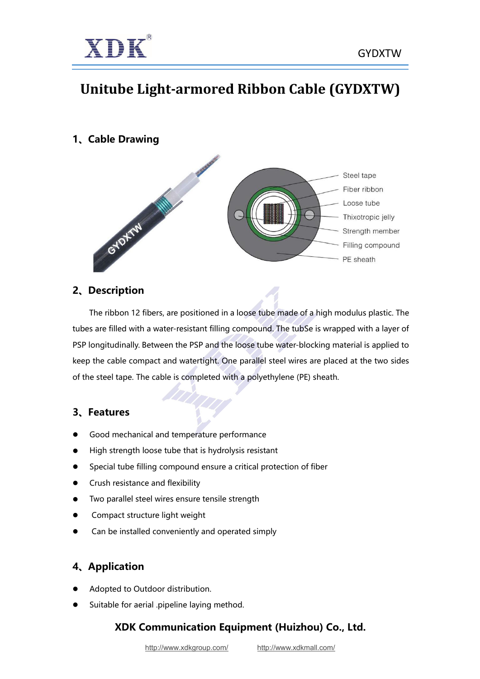

# **Unitube Light-armored Ribbon Cable (GYDXTW)**

**1、Cable Drawing**



### **2、Description**

The ribbon 12 fibers, are positioned in a loose tube made of a high modulus plastic. The tubes are filled with a water-resistant filling compound. The tubSe is wrapped with a layer of PSP longitudinally. Between the PSP and the loose tube water-blocking material is applied to keep the cable compact and watertight. One parallel steel wires are placed at the two sides of the steel tape. The cable is completed with a polyethylene (PE) sheath.

### **3、Features**

- Good mechanical and temperature performance
- High strength loose tube that is hydrolysis resistant
- Special tube filling compound ensure a critical protection of fiber
- **•** Crush resistance and flexibility
- Two parallel steel wires ensure tensile strength
- Compact structure light weight
- Can be installed conveniently and operated simply

# **4、Application**

- Adopted to Outdoor distribution.
- Suitable for aerial .pipeline laying method.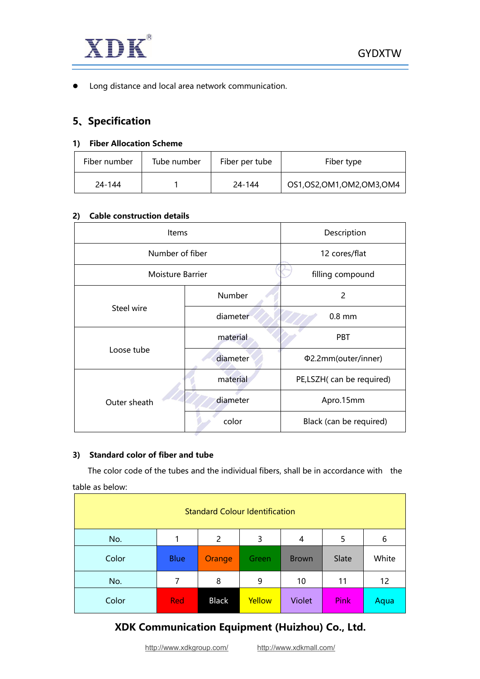

**•** Long distance and local area network communication.

### **5、Specification**

#### **1) Fiber Allocation Scheme**

| Fiber number | Tube number | Fiber per tube | Fiber type                   |
|--------------|-------------|----------------|------------------------------|
| 24-144       |             | 24-144         | OS1, OS2, OM1, OM2, OM3, OM4 |

#### **2) Cable construction details**

| Items            | Description      |                          |  |
|------------------|------------------|--------------------------|--|
|                  | Number of fiber  |                          |  |
| Moisture Barrier | filling compound |                          |  |
|                  | <b>Number</b>    | $\overline{c}$           |  |
| Steel wire       | diameter         | $0.8$ mm                 |  |
|                  | material         | <b>PBT</b>               |  |
| Loose tube       | diameter         | Φ2.2mm(outer/inner)      |  |
|                  | material         | PE,LSZH(can be required) |  |
| Outer sheath     | diameter         | Apro.15mm                |  |
|                  | color            | Black (can be required)  |  |

#### **3) Standard color of fiber and tube**

The color code of the tubes and the individual fibers, shall be in accordance with the table as below:

| <b>Standard Colour Identification</b> |             |                |              |               |       |       |
|---------------------------------------|-------------|----------------|--------------|---------------|-------|-------|
| No.                                   |             | $\overline{2}$ | 3            | 4             | 5     | 6     |
| Color                                 | <b>Blue</b> | Orange         | <b>Green</b> | <b>Brown</b>  | Slate | White |
| No.                                   | 7           | 8              | 9            | 10            | 11    | 12    |
| Color                                 | <b>Red</b>  | <b>Black</b>   | Yellow       | <b>Violet</b> | Pink  | Aqua  |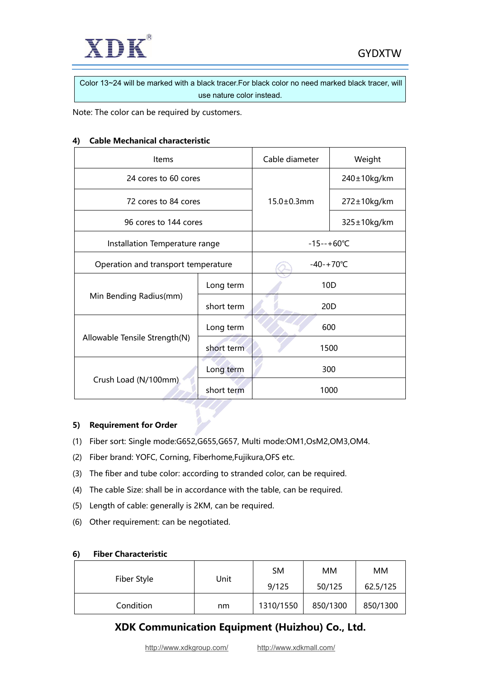

Color 13~24 will be marked with a black tracer.For black color no need marked black tracer, will use nature color instead.

Note: The color can be required by customers.

#### **4) Cable Mechanical characteristic**

| Items                               | Cable diameter | Weight              |             |  |
|-------------------------------------|----------------|---------------------|-------------|--|
| 24 cores to 60 cores                |                |                     | 240±10kg/km |  |
| 72 cores to 84 cores                |                | $15.0 \pm 0.3$ mm   | 272±10kg/km |  |
| 96 cores to 144 cores               |                |                     | 325±10kg/km |  |
| Installation Temperature range      |                | $-15--+60^{\circ}C$ |             |  |
| Operation and transport temperature |                | $-40-+70^{\circ}C$  |             |  |
|                                     | Long term      | 10 <sub>D</sub>     |             |  |
| Min Bending Radius(mm)              | short term     | 20 <sub>D</sub>     |             |  |
|                                     | Long term      | 600                 |             |  |
| Allowable Tensile Strength(N)       | short term     | 1500                |             |  |
|                                     | Long term      | 300                 |             |  |
| Crush Load (N/100mm)                | short term     | 1000                |             |  |

#### **5) Requirement for Order**

- (1) Fiber sort: Single mode:G652,G655,G657, Multi mode:OM1,OsM2,OM3,OM4.
- (2) Fiber brand: YOFC, Corning, Fiberhome,Fujikura,OFS etc.
- (3) The fiber and tube color: according to stranded color, can be required.
- (4) The cable Size: shall be in accordance with the table, can be required.
- (5) Length of cable: generally is 2KM, can be required.
- (6) Other requirement: can be negotiated.

| $\overline{\phantom{a}}$<br>-------------------- |      |           |          |           |
|--------------------------------------------------|------|-----------|----------|-----------|
|                                                  | Unit | <b>SM</b> | MM       | <b>MM</b> |
| Fiber Style                                      |      | 9/125     | 50/125   | 62.5/125  |
| Condition                                        | nm   | 1310/1550 | 850/1300 | 850/1300  |

#### **6) Fiber Characteristic**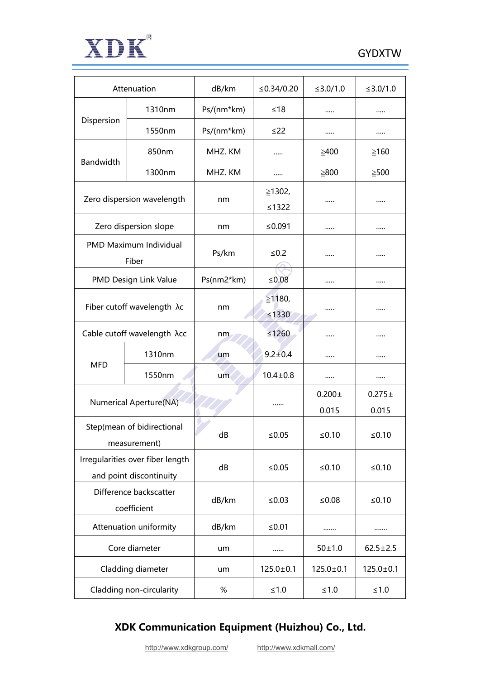

| Attenuation                                                 |                                 | dB/km      | $≤ 0.34/0.20$         | ≤3.0/1.0             | ≤3.0/1.0             |
|-------------------------------------------------------------|---------------------------------|------------|-----------------------|----------------------|----------------------|
|                                                             | 1310nm                          | Ps/(nm*km) | $≤18$                 |                      |                      |
| Dispersion                                                  | 1550nm                          | Ps/(nm*km) | ≤22                   |                      |                      |
|                                                             | 850nm                           | MHZ. KM    |                       | $\geq 400$           | $\geq 160$           |
| Bandwidth                                                   | 1300nm                          | MHZ. KM    |                       | $\geq 800$           | $\geq 500$           |
|                                                             | Zero dispersion wavelength      | nm         | ≥1302,<br>$\leq 1322$ |                      |                      |
|                                                             | Zero dispersion slope           | nm         | ≤ $0.091$             |                      |                      |
|                                                             | PMD Maximum Individual<br>Fiber | Ps/km      | $\leq 0.2$            |                      |                      |
|                                                             | PMD Design Link Value           | Ps(nm2*km) | $≤0.08$               |                      |                      |
| Fiber cutoff wavelength $\lambda c$                         |                                 | nm         | ≥1180,<br>$\leq 1330$ |                      |                      |
| Cable cutoff wavelength λcc                                 |                                 | nm         | $≤1260$               |                      |                      |
|                                                             | 1310nm                          | um         | $9.2 \pm 0.4$         |                      |                      |
| <b>MFD</b>                                                  | 1550nm                          | um         | $10.4 \pm 0.8$        |                      |                      |
| <b>Numerical Aperture(NA)</b>                               |                                 |            |                       | $0.200 \pm$<br>0.015 | $0.275 \pm$<br>0.015 |
| Step(mean of bidirectional<br>measurement)                  |                                 | dB         | ≤ $0.05$              | ≤ $0.10$             | ≤ $0.10$             |
| Irregularities over fiber length<br>and point discontinuity |                                 | dB         | $≤0.05$               | $≤0.10$              | $≤0.10$              |
| Difference backscatter<br>coefficient                       |                                 | dB/km      | ≤0.03                 | ≤ $0.08$             | $≤0.10$              |
| Attenuation uniformity                                      |                                 | dB/km      | $≤0.01$               |                      |                      |
|                                                             | Core diameter                   | um         |                       | $50 \pm 1.0$         | $62.5 \pm 2.5$       |
|                                                             | Cladding diameter               | um         | $125.0 \pm 0.1$       | $125.0 \pm 0.1$      | $125.0 \pm 0.1$      |
| Cladding non-circularity                                    |                                 | $\%$       | $\leq 1.0$            | $≤1.0$               | $\leq 1.0$           |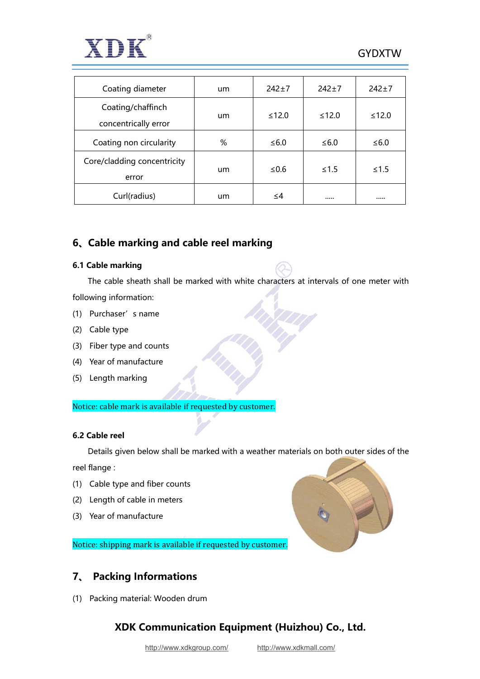

| Coating diameter                          | um | $242 \pm 7$ | $242+7$ | $242+7$ |
|-------------------------------------------|----|-------------|---------|---------|
| Coating/chaffinch<br>concentrically error | um | $≤12.0$     | $≤12.0$ | $≤12.0$ |
| Coating non circularity                   | %  | ≤ $6.0$     | ≤ $6.0$ | ≤ $6.0$ |
| Core/cladding concentricity<br>error      | um | ≤ $0.6$     | $≤1.5$  | $≤1.5$  |
| Curl(radius)                              | um | ≤4          |         |         |

## **6、Cable marking and cable reel marking**

#### **6.1 Cable marking**

The cable sheath shall be marked with white characters at intervals of one meter with following information:

- (1) Purchaser's name
- (2) Cable type
- (3) Fiber type and counts
- (4) Year of manufacture
- (5) Length marking

Notice: cable mark is available if requested by customer.

#### **6.2 Cable reel**

Details given below shall be marked with a weather materials on both outer sides of the

reel flange :

- (1) Cable type and fiber counts
- (2) Length of cable in meters
- (3) Year of manufacture

Notice: shipping mark is available if requested by customer.

### **7、 Packing Informations**

(1) Packing material: Wooden drum

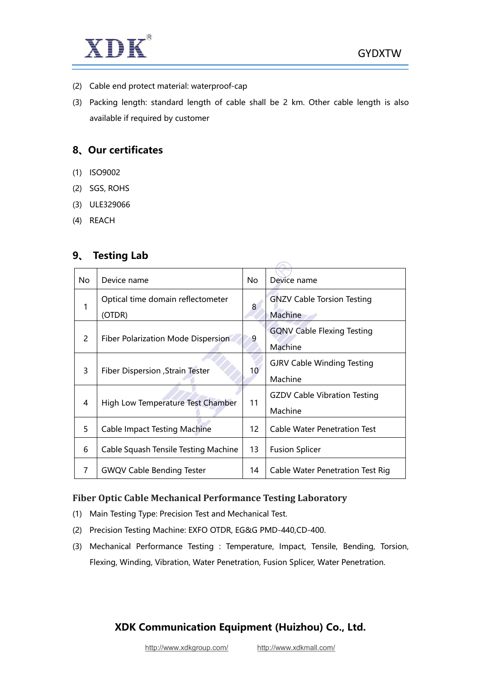



- (2) Cable end protect material: waterproof-cap
- (3) Packing length: standard length of cable shall be 2 km. Other cable length is also available if required by customer

#### **8、Our certificates**

- (1) ISO9002
- (2) SGS, ROHS
- (3) ULE329066
- (4) REACH

#### **9、 Testing Lab**

| No             | Device name                                 | No.             | Device name                                    |
|----------------|---------------------------------------------|-----------------|------------------------------------------------|
| 1              | Optical time domain reflectometer<br>(OTDR) | 8               | <b>GNZV Cable Torsion Testing</b><br>Machine   |
| $\overline{2}$ | Fiber Polarization Mode Dispersion          | 9               | <b>GQNV Cable Flexing Testing</b><br>Machine   |
| 3              | Fiber Dispersion , Strain Tester            | 10 <sup>°</sup> | <b>GJRV Cable Winding Testing</b><br>Machine   |
| 4              | High Low Temperature Test Chamber           | 11              | <b>GZDV Cable Vibration Testing</b><br>Machine |
| 5              | <b>Cable Impact Testing Machine</b>         | 12              | <b>Cable Water Penetration Test</b>            |
| 6              | Cable Squash Tensile Testing Machine        | 13              | <b>Fusion Splicer</b>                          |
| 7              | <b>GWQV Cable Bending Tester</b>            | 14              | Cable Water Penetration Test Rig               |

 $\overline{\phantom{a}}$ 

#### **Fiber Optic Cable Mechanical Performance Testing Laboratory**

- (1) Main Testing Type: Precision Test and Mechanical Test.
- (2) Precision Testing Machine: EXFO OTDR, EG&G PMD-440,CD-400.
- (3) Mechanical Performance Testing : Temperature, Impact, Tensile, Bending, Torsion, Flexing, Winding, Vibration, Water Penetration, Fusion Splicer, Water Penetration.